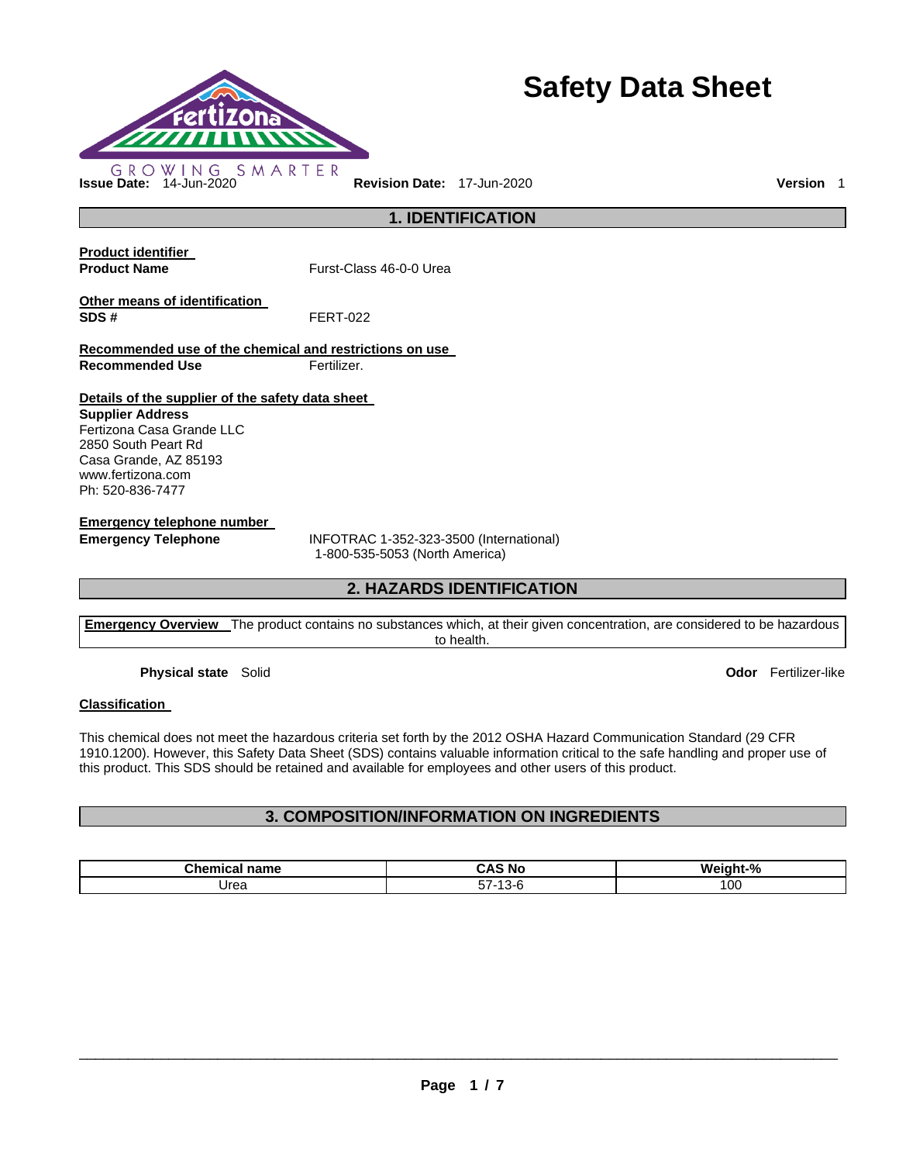

# **Safety Data Sheet**

**1. IDENTIFICATION** 

**Product identifier** 

**Product Name Furst-Class 46-0-0 Urea** 

**Other means of identification SDS #** FERT-022

**Recommended use of the chemical and restrictions on use Recommended Use Fertilizer.** 

**Details of the supplier of the safety data sheet** 

**Supplier Address** Fertizona Casa Grande LLC 2850 South Peart Rd Casa Grande, AZ 85193 www.fertizona.com Ph: 520-836-7477

**Emergency telephone number** 

**Emergency Telephone** INFOTRAC 1-352-323-3500 (International) 1-800-535-5053 (North America)

# **2. HAZARDS IDENTIFICATION**

**Emergency Overview** The product contains no substances which, at their given concentration, are considered to be hazardous to health.

**Physical state** Solid **Odor** Fertilizer-like

#### **Classification**

This chemical does not meet the hazardous criteria set forth by the 2012 OSHA Hazard Communication Standard (29 CFR 1910.1200). However, this Safety Data Sheet (SDS) contains valuable information critical to the safe handling and proper use of this product. This SDS should be retained and available for employees and other users of this product.

# **3. COMPOSITION/INFORMATION ON INGREDIENTS**

| Chamir <sub>c</sub><br>name | <b>CHI</b><br>ำ∧-<br>.NG<br>. . | Weight-% |
|-----------------------------|---------------------------------|----------|
| Jrea                        | $ -$<br>-<br>$-11-$             | 10C      |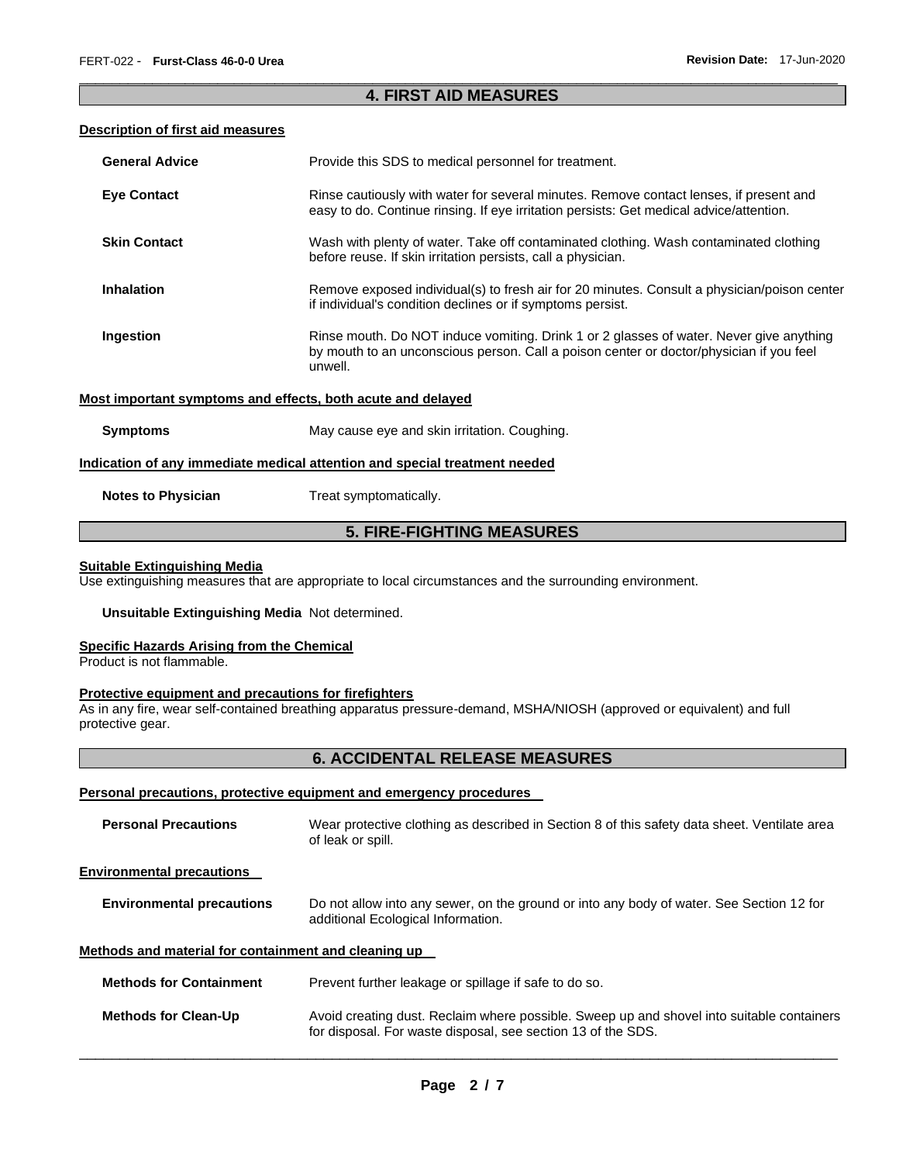# \_\_\_\_\_\_\_\_\_\_\_\_\_\_\_\_\_\_\_\_\_\_\_\_\_\_\_\_\_\_\_\_\_\_\_\_\_\_\_\_\_\_\_\_\_\_\_\_\_\_\_\_\_\_\_\_\_\_\_\_\_\_\_\_\_\_\_\_\_\_\_\_\_\_\_\_\_\_\_\_\_\_\_\_\_\_\_\_\_\_\_\_\_ **4. FIRST AID MEASURES**

## **Description of first aid measures**

| <b>General Advice</b>     | Provide this SDS to medical personnel for treatment.                                                                                                                                          |
|---------------------------|-----------------------------------------------------------------------------------------------------------------------------------------------------------------------------------------------|
| <b>Eye Contact</b>        | Rinse cautiously with water for several minutes. Remove contact lenses, if present and<br>easy to do. Continue rinsing. If eye irritation persists: Get medical advice/attention.             |
| <b>Skin Contact</b>       | Wash with plenty of water. Take off contaminated clothing. Wash contaminated clothing<br>before reuse. If skin irritation persists, call a physician.                                         |
| <b>Inhalation</b>         | Remove exposed individual(s) to fresh air for 20 minutes. Consult a physician/poison center<br>if individual's condition declines or if symptoms persist.                                     |
| Ingestion                 | Rinse mouth. Do NOT induce vomiting. Drink 1 or 2 glasses of water. Never give anything<br>by mouth to an unconscious person. Call a poison center or doctor/physician if you feel<br>unwell. |
|                           | Most important symptoms and effects, both acute and delayed                                                                                                                                   |
| <b>Symptoms</b>           | May cause eye and skin irritation. Coughing.                                                                                                                                                  |
|                           | Indication of any immediate medical attention and special treatment needed                                                                                                                    |
| <b>Notes to Physician</b> | Treat symptomatically.                                                                                                                                                                        |

# **5. FIRE-FIGHTING MEASURES**

## **Suitable Extinguishing Media**

Use extinguishing measures that are appropriate to local circumstances and the surrounding environment.

## **Unsuitable Extinguishing Media** Not determined.

#### **Specific Hazards Arising from the Chemical**

Product is not flammable.

## **Protective equipment and precautions for firefighters**

As in any fire, wear self-contained breathing apparatus pressure-demand, MSHA/NIOSH (approved or equivalent) and full protective gear.

# **6. ACCIDENTAL RELEASE MEASURES**

#### **Personal precautions, protective equipment and emergency procedures**

| <b>Personal Precautions</b>                          | Wear protective clothing as described in Section 8 of this safety data sheet. Ventilate area<br>of leak or spill.                                         |
|------------------------------------------------------|-----------------------------------------------------------------------------------------------------------------------------------------------------------|
| <b>Environmental precautions</b>                     |                                                                                                                                                           |
| <b>Environmental precautions</b>                     | Do not allow into any sewer, on the ground or into any body of water. See Section 12 for<br>additional Ecological Information.                            |
| Methods and material for containment and cleaning up |                                                                                                                                                           |
| <b>Methods for Containment</b>                       | Prevent further leakage or spillage if safe to do so.                                                                                                     |
| <b>Methods for Clean-Up</b>                          | Avoid creating dust. Reclaim where possible. Sweep up and shovel into suitable containers<br>for disposal. For waste disposal, see section 13 of the SDS. |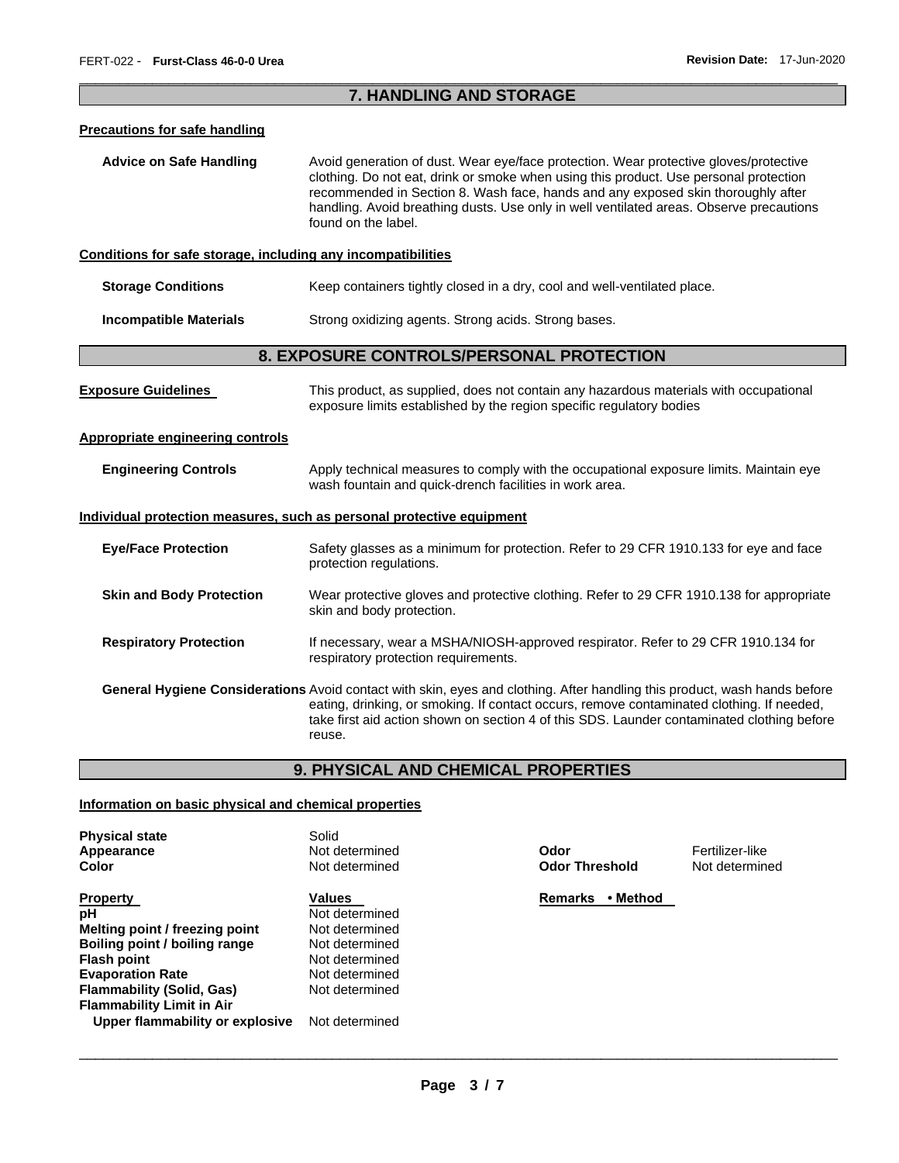# \_\_\_\_\_\_\_\_\_\_\_\_\_\_\_\_\_\_\_\_\_\_\_\_\_\_\_\_\_\_\_\_\_\_\_\_\_\_\_\_\_\_\_\_\_\_\_\_\_\_\_\_\_\_\_\_\_\_\_\_\_\_\_\_\_\_\_\_\_\_\_\_\_\_\_\_\_\_\_\_\_\_\_\_\_\_\_\_\_\_\_\_\_ **7. HANDLING AND STORAGE**

#### **Precautions for safe handling**

**Advice on Safe Handling** Avoid generation of dust. Wear eye/face protection. Wear protective gloves/protective clothing. Do not eat, drink or smoke when using this product. Use personal protection recommended in Section 8. Wash face, hands and any exposed skin thoroughly after handling. Avoid breathing dusts. Use only in well ventilated areas. Observe precautions found on the label.

#### **Conditions for safe storage, including any incompatibilities**

| Storage Conditions |  |  | Keep containers tightly closed in a dry, cool and well-ventilated place. |
|--------------------|--|--|--------------------------------------------------------------------------|
|--------------------|--|--|--------------------------------------------------------------------------|

**Incompatible Materials Strong oxidizing agents. Strong acids. Strong bases.** 

# **8. EXPOSURE CONTROLS/PERSONAL PROTECTION**

| <b>Exposure Guidelines</b>                                            | This product, as supplied, does not contain any hazardous materials with occupational<br>exposure limits established by the region specific regulatory bodies                                                                                                                                                                         |
|-----------------------------------------------------------------------|---------------------------------------------------------------------------------------------------------------------------------------------------------------------------------------------------------------------------------------------------------------------------------------------------------------------------------------|
| Appropriate engineering controls                                      |                                                                                                                                                                                                                                                                                                                                       |
| <b>Engineering Controls</b>                                           | Apply technical measures to comply with the occupational exposure limits. Maintain eye<br>wash fountain and quick-drench facilities in work area.                                                                                                                                                                                     |
| Individual protection measures, such as personal protective equipment |                                                                                                                                                                                                                                                                                                                                       |
| <b>Eye/Face Protection</b>                                            | Safety glasses as a minimum for protection. Refer to 29 CFR 1910.133 for eye and face<br>protection regulations.                                                                                                                                                                                                                      |
| <b>Skin and Body Protection</b>                                       | Wear protective gloves and protective clothing. Refer to 29 CFR 1910.138 for appropriate<br>skin and body protection.                                                                                                                                                                                                                 |
| <b>Respiratory Protection</b>                                         | If necessary, wear a MSHA/NIOSH-approved respirator. Refer to 29 CFR 1910.134 for<br>respiratory protection requirements.                                                                                                                                                                                                             |
|                                                                       | <b>General Hygiene Considerations</b> Avoid contact with skin, eyes and clothing. After handling this product, wash hands before<br>eating, drinking, or smoking. If contact occurs, remove contaminated clothing. If needed,<br>take first aid action shown on section 4 of this SDS. Launder contaminated clothing before<br>reuse. |

# **9. PHYSICAL AND CHEMICAL PROPERTIES**

# **Information on basic physical and chemical properties**

| <b>Physical state</b><br>Appearance | Solid<br>Not determined | Odor                       | Fertilizer-like |
|-------------------------------------|-------------------------|----------------------------|-----------------|
| Color                               | Not determined          | <b>Odor Threshold</b>      | Not determine   |
| <b>Property</b>                     | Values                  | <b>Remarks</b><br>• Method |                 |
| рH                                  | Not determined          |                            |                 |
| Melting point / freezing point      | Not determined          |                            |                 |
| Boiling point / boiling range       | Not determined          |                            |                 |
| <b>Flash point</b>                  | Not determined          |                            |                 |
| <b>Evaporation Rate</b>             | Not determined          |                            |                 |
| <b>Flammability (Solid, Gas)</b>    | Not determined          |                            |                 |
| <b>Flammability Limit in Air</b>    |                         |                            |                 |
| Upper flammability or explosive     | Not determined          |                            |                 |

**Not determined**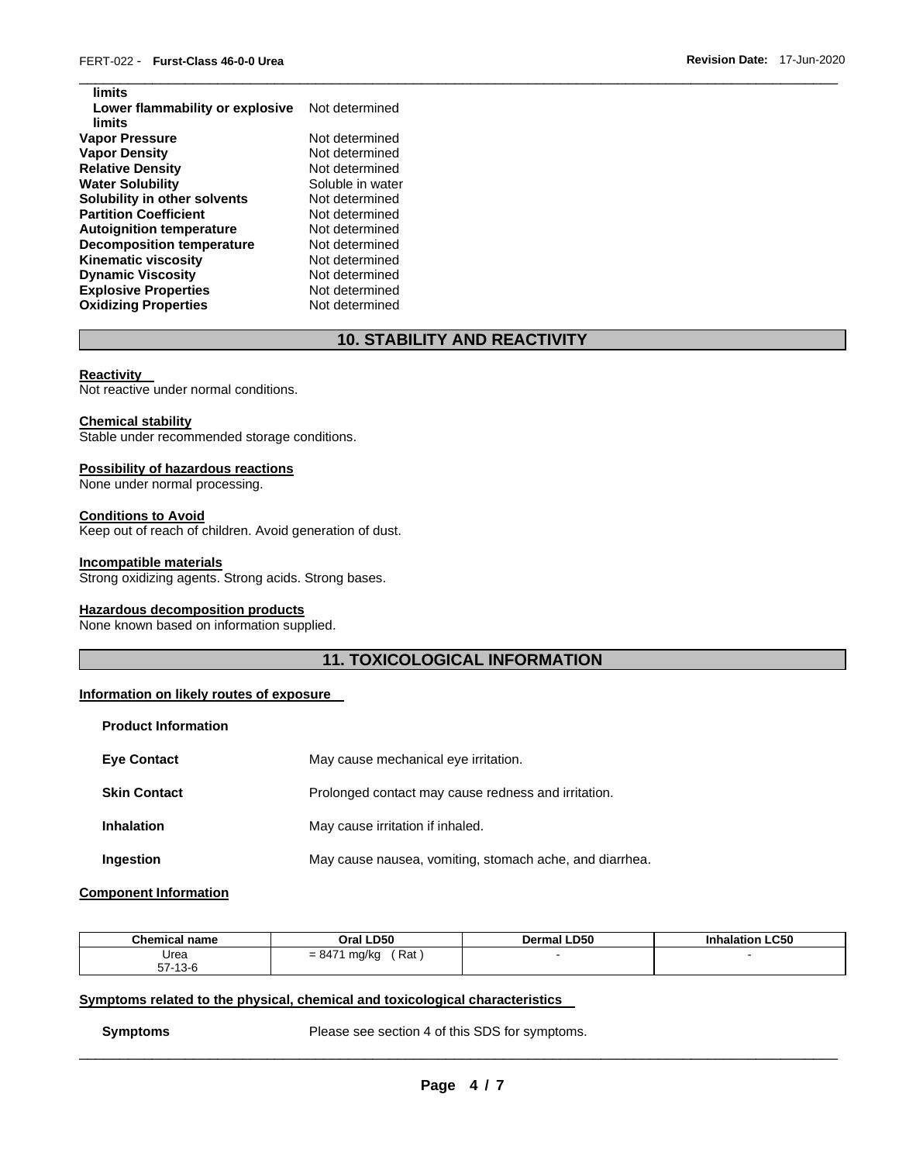| Not determined   |
|------------------|
|                  |
| Not determined   |
| Not determined   |
| Not determined   |
| Soluble in water |
| Not determined   |
| Not determined   |
| Not determined   |
| Not determined   |
| Not determined   |
| Not determined   |
| Not determined   |
| Not determined   |
|                  |

# **10. STABILITY AND REACTIVITY**

\_\_\_\_\_\_\_\_\_\_\_\_\_\_\_\_\_\_\_\_\_\_\_\_\_\_\_\_\_\_\_\_\_\_\_\_\_\_\_\_\_\_\_\_\_\_\_\_\_\_\_\_\_\_\_\_\_\_\_\_\_\_\_\_\_\_\_\_\_\_\_\_\_\_\_\_\_\_\_\_\_\_\_\_\_\_\_\_\_\_\_\_\_

#### **Reactivity**

**limits** 

Not reactive under normal conditions.

## **Chemical stability**

Stable under recommended storage conditions.

#### **Possibility of hazardous reactions**

None under normal processing.

#### **Conditions to Avoid**

Keep out of reach of children. Avoid generation of dust.

#### **Incompatible materials**

Strong oxidizing agents. Strong acids. Strong bases.

## **Hazardous decomposition products**

None known based on information supplied.

# **11. TOXICOLOGICAL INFORMATION**

# **Information on likely routes of exposure**

| <b>Product Information</b> |                                                         |
|----------------------------|---------------------------------------------------------|
| <b>Eye Contact</b>         | May cause mechanical eye irritation.                    |
| <b>Skin Contact</b>        | Prolonged contact may cause redness and irritation.     |
| <b>Inhalation</b>          | May cause irritation if inhaled.                        |
| Ingestion                  | May cause nausea, vomiting, stomach ache, and diarrhea. |

## **Component Information**

| <b>Chemical name</b> | Oral LD50                | <b>Dermal LD50</b> | <b>Inhalation LC50</b> |
|----------------------|--------------------------|--------------------|------------------------|
| Urea                 | Rat<br>$= 8471$<br>mg/kg |                    |                        |
| 57-13-6              |                          |                    |                        |

#### **Symptoms related to the physical, chemical and toxicological characteristics**

**Symptoms** Please see section 4 of this SDS for symptoms.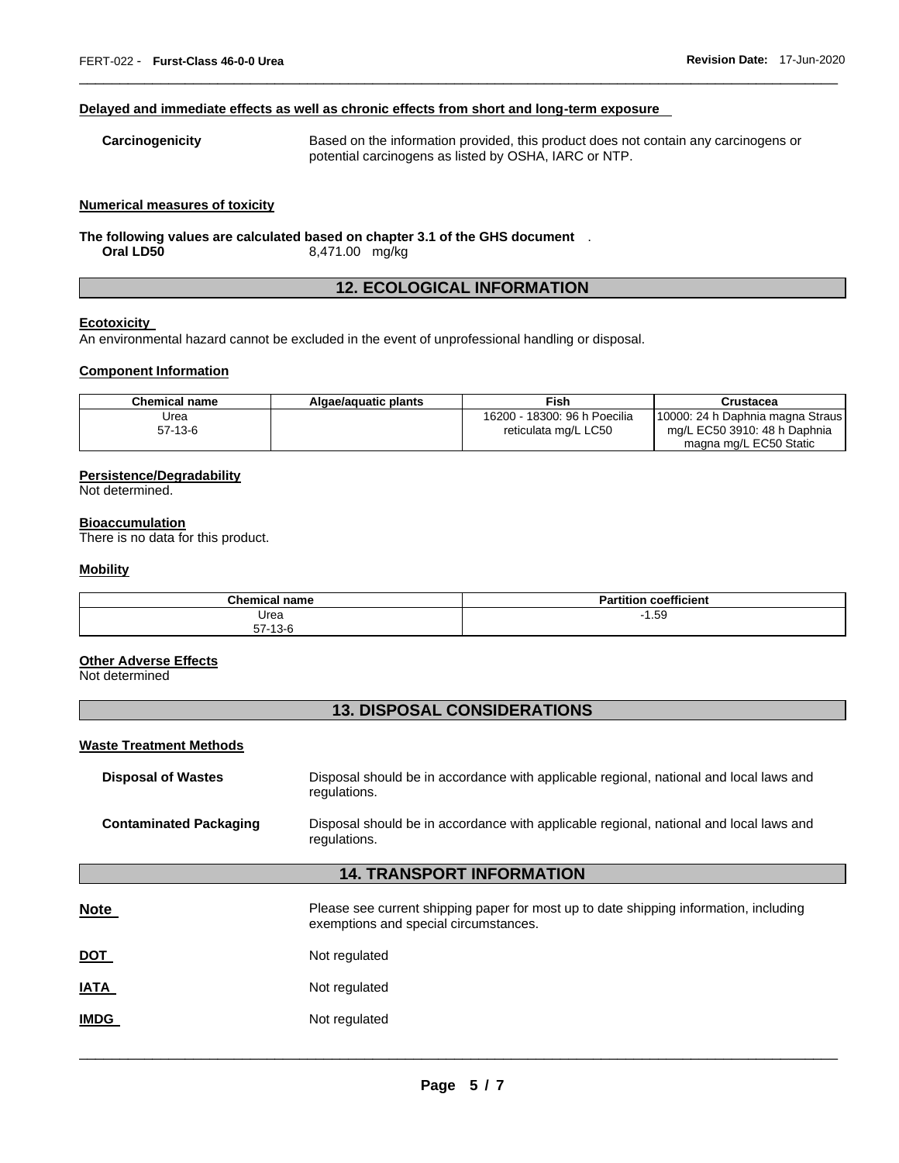#### **Delayed and immediate effects as well as chronic effects from short and long-term exposure**

| Carcinogenicity | Based on the information provided, this product does not contain any carcinogens or |
|-----------------|-------------------------------------------------------------------------------------|
|                 | potential carcinogens as listed by OSHA, IARC or NTP.                               |

\_\_\_\_\_\_\_\_\_\_\_\_\_\_\_\_\_\_\_\_\_\_\_\_\_\_\_\_\_\_\_\_\_\_\_\_\_\_\_\_\_\_\_\_\_\_\_\_\_\_\_\_\_\_\_\_\_\_\_\_\_\_\_\_\_\_\_\_\_\_\_\_\_\_\_\_\_\_\_\_\_\_\_\_\_\_\_\_\_\_\_\_\_

#### **Numerical measures of toxicity**

**The following values are calculated based on chapter 3.1 of the GHS document** . **Oral LD50** 8,471.00 mg/kg

# **12. ECOLOGICAL INFORMATION**

# **Ecotoxicity**

An environmental hazard cannot be excluded in the event of unprofessional handling or disposal.

#### **Component Information**

| Chemical name | Algae/aguatic plants | Fish                         | Crustacea                        |
|---------------|----------------------|------------------------------|----------------------------------|
| Jrea          |                      | 16200 - 18300: 96 h Poecilia | 10000: 24 h Daphnia magna Straus |
| $57-13-6$     |                      | reticulata mg/L LC50         | mg/L EC50 3910: 48 h Daphnia     |
|               |                      |                              | magna mg/L EC50 Static           |

## **Persistence/Degradability**

Not determined.

#### **Bioaccumulation**

There is no data for this product.

#### **Mobility**

| <b>Chemical name</b> | coefficient<br>Partition<br>αı |
|----------------------|--------------------------------|
| Urea                 | 1.59<br>- 1                    |
| $57-13-6$            |                                |

## **Other Adverse Effects**

Not determined

# **13. DISPOSAL CONSIDERATIONS**

#### **Waste Treatment Methods**

| <b>Disposal of Wastes</b>     | Disposal should be in accordance with applicable regional, national and local laws and<br>regulations. |
|-------------------------------|--------------------------------------------------------------------------------------------------------|
| <b>Contaminated Packaging</b> | Disposal should be in accordance with applicable regional, national and local laws and<br>regulations. |

# **14. TRANSPORT INFORMATION**

| <b>Note</b> | Please see current shipping paper for most up to date shipping information, including<br>exemptions and special circumstances. |
|-------------|--------------------------------------------------------------------------------------------------------------------------------|
| <u>DOT</u>  | Not regulated                                                                                                                  |
| <b>IATA</b> | Not regulated                                                                                                                  |
| <b>IMDG</b> | Not regulated                                                                                                                  |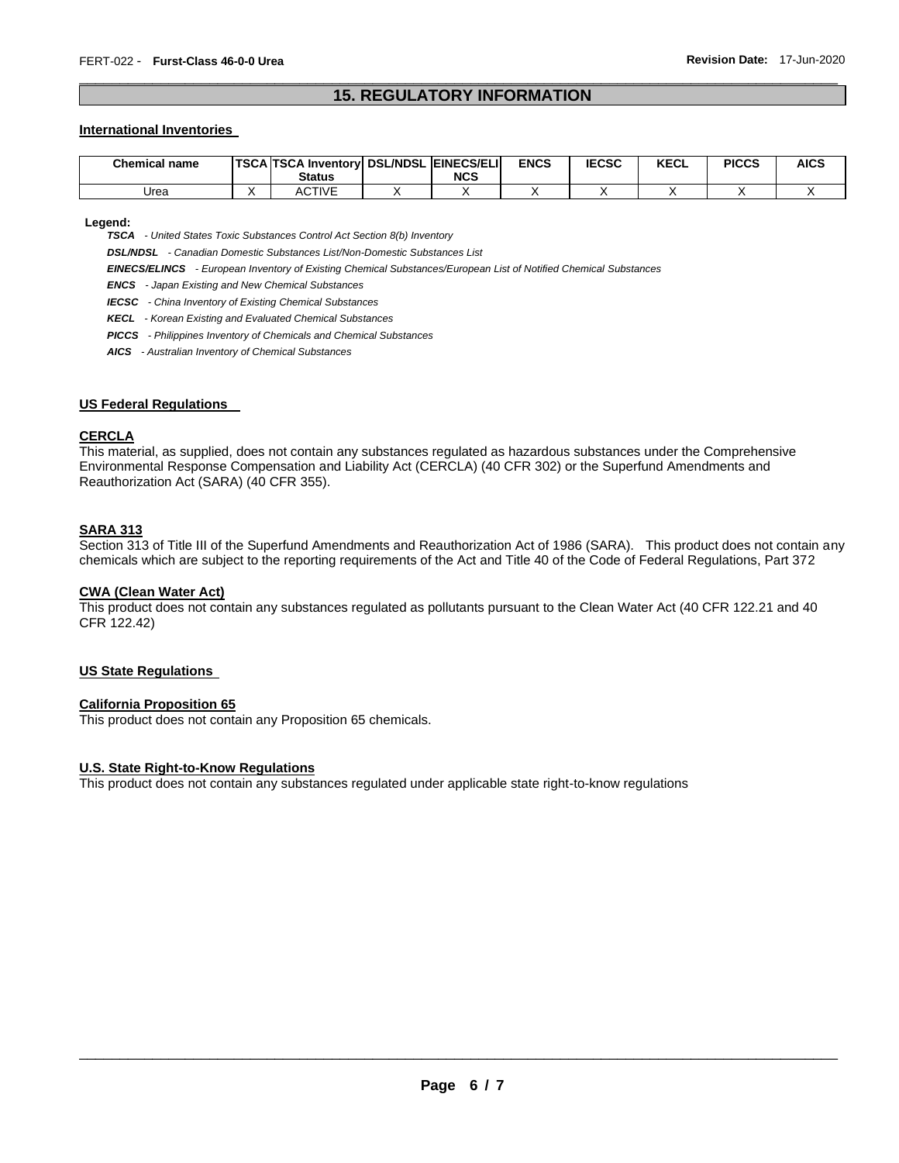# \_\_\_\_\_\_\_\_\_\_\_\_\_\_\_\_\_\_\_\_\_\_\_\_\_\_\_\_\_\_\_\_\_\_\_\_\_\_\_\_\_\_\_\_\_\_\_\_\_\_\_\_\_\_\_\_\_\_\_\_\_\_\_\_\_\_\_\_\_\_\_\_\_\_\_\_\_\_\_\_\_\_\_\_\_\_\_\_\_\_\_\_\_ **15. REGULATORY INFORMATION**

#### **International Inventories**

| <b>Chemical name</b> | <b>TSCA TSCA Inventory DSL/NDSL EINECS/ELIL</b><br><b>Status</b> | <b>NCS</b> | <b>ENCS</b> | <b>IECSC</b> | <b>KECL</b> | <b>PICCS</b> | <b>AICS</b> |
|----------------------|------------------------------------------------------------------|------------|-------------|--------------|-------------|--------------|-------------|
| Urea                 | <b>ACTIVE</b>                                                    |            |             |              |             |              |             |

**Legend:** 

*TSCA - United States Toxic Substances Control Act Section 8(b) Inventory* 

*DSL/NDSL - Canadian Domestic Substances List/Non-Domestic Substances List* 

*EINECS/ELINCS - European Inventory of Existing Chemical Substances/European List of Notified Chemical Substances* 

*ENCS - Japan Existing and New Chemical Substances* 

*IECSC - China Inventory of Existing Chemical Substances* 

*KECL - Korean Existing and Evaluated Chemical Substances* 

*PICCS - Philippines Inventory of Chemicals and Chemical Substances* 

*AICS - Australian Inventory of Chemical Substances* 

#### **US Federal Regulations**

#### **CERCLA**

This material, as supplied, does not contain any substances regulated as hazardous substances under the Comprehensive Environmental Response Compensation and Liability Act (CERCLA) (40 CFR 302) or the Superfund Amendments and Reauthorization Act (SARA) (40 CFR 355).

#### **SARA 313**

Section 313 of Title III of the Superfund Amendments and Reauthorization Act of 1986 (SARA). This product does not contain any chemicals which are subject to the reporting requirements of the Act and Title 40 of the Code of Federal Regulations, Part 372

#### **CWA (Clean Water Act)**

This product does not contain any substances regulated as pollutants pursuant to the Clean Water Act (40 CFR 122.21 and 40 CFR 122.42)

## **US State Regulations**

#### **California Proposition 65**

This product does not contain any Proposition 65 chemicals.

#### **U.S. State Right-to-Know Regulations**

This product does not contain any substances regulated under applicable state right-to-know regulations